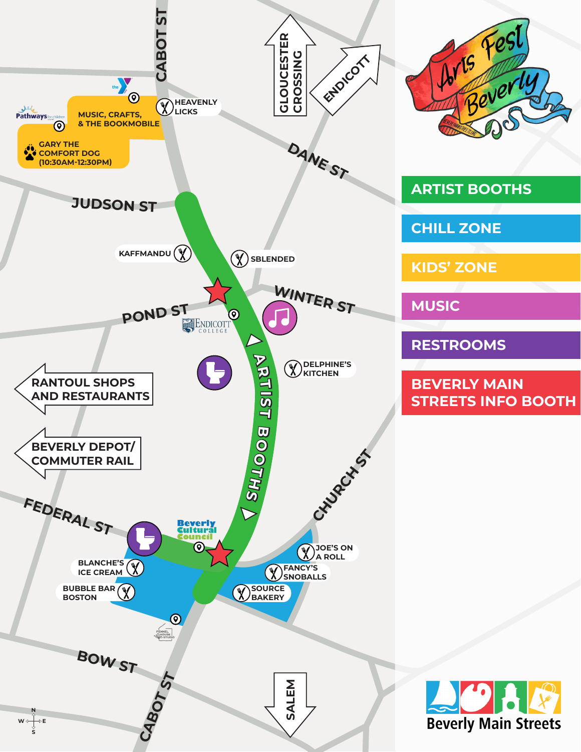